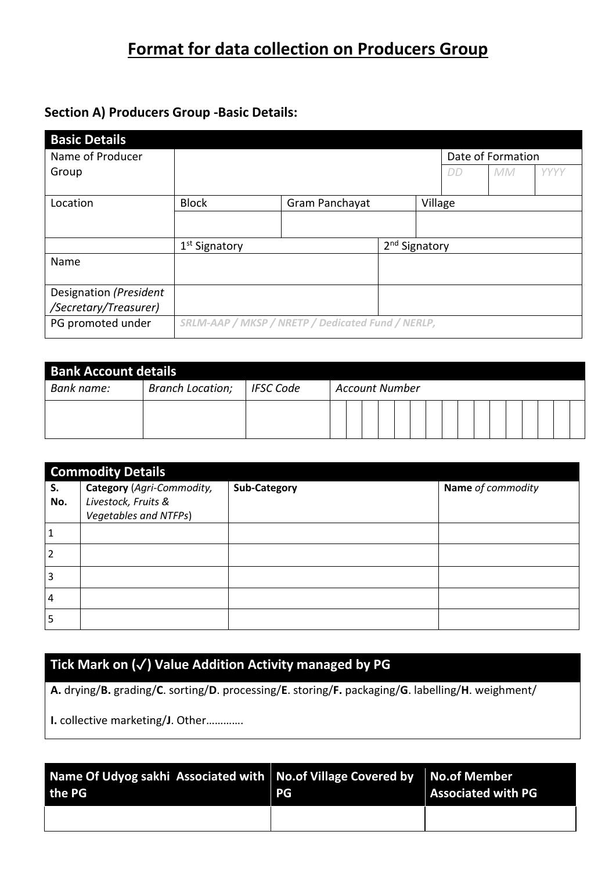## **Format for data collection on Producers Group**

## **Section A) Producers Group -Basic Details:**

| <b>Basic Details</b>   |                                                   |                |                           |         |    |                   |      |
|------------------------|---------------------------------------------------|----------------|---------------------------|---------|----|-------------------|------|
| Name of Producer       |                                                   |                |                           |         |    | Date of Formation |      |
| Group                  |                                                   |                |                           |         | DD | <b>MM</b>         | YYYY |
|                        |                                                   |                |                           |         |    |                   |      |
| Location               | <b>Block</b>                                      | Gram Panchayat |                           | Village |    |                   |      |
|                        |                                                   |                |                           |         |    |                   |      |
|                        | 1 <sup>st</sup> Signatory                         |                | 2 <sup>nd</sup> Signatory |         |    |                   |      |
| Name                   |                                                   |                |                           |         |    |                   |      |
|                        |                                                   |                |                           |         |    |                   |      |
| Designation (President |                                                   |                |                           |         |    |                   |      |
| /Secretary/Treasurer)  |                                                   |                |                           |         |    |                   |      |
| PG promoted under      | SRLM-AAP / MKSP / NRETP / Dedicated Fund / NERLP, |                |                           |         |    |                   |      |

| <b>Bank Account details</b> |                         |                  |                       |  |  |  |  |  |  |  |
|-----------------------------|-------------------------|------------------|-----------------------|--|--|--|--|--|--|--|
| Bank name:                  | <b>Branch Location;</b> | <b>IFSC Code</b> | <b>Account Number</b> |  |  |  |  |  |  |  |
|                             |                         |                  |                       |  |  |  |  |  |  |  |

|                | <b>Commodity Details</b>                                                  |                     |                   |
|----------------|---------------------------------------------------------------------------|---------------------|-------------------|
| S.<br>No.      | Category (Agri-Commodity,<br>Livestock, Fruits &<br>Vegetables and NTFPs) | <b>Sub-Category</b> | Name of commodity |
|                |                                                                           |                     |                   |
| $\overline{2}$ |                                                                           |                     |                   |
| 3              |                                                                           |                     |                   |
| $\overline{4}$ |                                                                           |                     |                   |
| 5              |                                                                           |                     |                   |

## **Tick Mark on (**✓**) Value Addition Activity managed by PG**

**A.** drying/**B.** grading/**C**. sorting/**D**. processing/**E**. storing/**F.** packaging/**G**. labelling/**H**. weighment/

**I.** collective marketing/**J**. Other………….

| Name Of Udyog sakhi Associated with $\vert$ No.of Village Covered by $\vert$ No.of Member<br>the PG | <b>PG</b> | <b>Associated with PG</b> |
|-----------------------------------------------------------------------------------------------------|-----------|---------------------------|
|                                                                                                     |           |                           |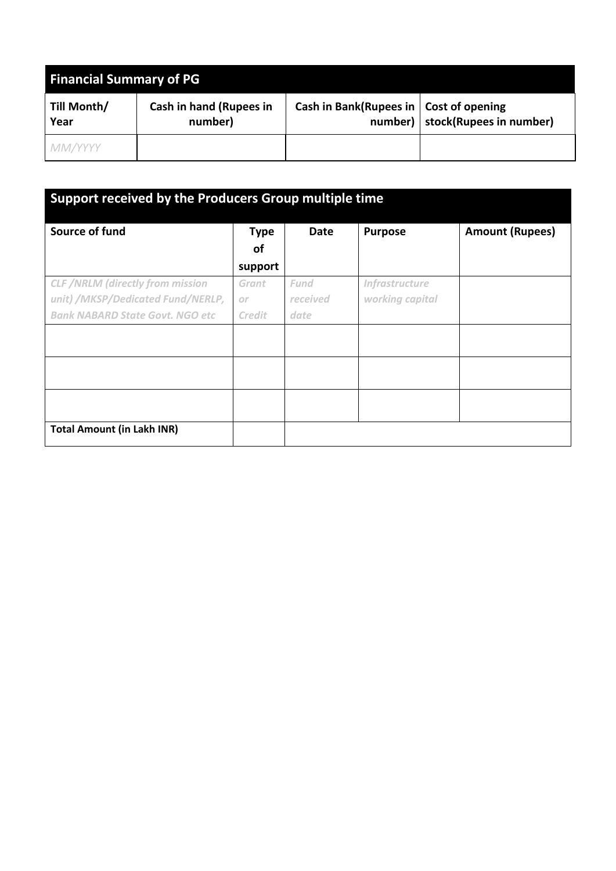| <b>Financial Summary of PG</b> |                                           |                                          |                                   |  |  |  |  |
|--------------------------------|-------------------------------------------|------------------------------------------|-----------------------------------|--|--|--|--|
| Till Month/<br>Year            | <b>Cash in hand (Rupees in</b><br>number) | Cash in Bank(Rupees in   Cost of opening | number)   stock(Rupees in number) |  |  |  |  |
| MM/YYYY                        |                                           |                                          |                                   |  |  |  |  |

| Support received by the Producers Group multiple time |                          |             |                       |                        |  |  |  |
|-------------------------------------------------------|--------------------------|-------------|-----------------------|------------------------|--|--|--|
| Source of fund                                        | <b>Type</b><br><b>of</b> | <b>Date</b> | <b>Purpose</b>        | <b>Amount (Rupees)</b> |  |  |  |
|                                                       | support                  |             |                       |                        |  |  |  |
| <b>CLF</b> /NRLM (directly from mission               | Grant                    | Fund        | <b>Infrastructure</b> |                        |  |  |  |
| unit) /MKSP/Dedicated Fund/NERLP,                     | or                       | received    | working capital       |                        |  |  |  |
| <b>Bank NABARD State Govt. NGO etc</b>                | <b>Credit</b>            | date        |                       |                        |  |  |  |
|                                                       |                          |             |                       |                        |  |  |  |
|                                                       |                          |             |                       |                        |  |  |  |
|                                                       |                          |             |                       |                        |  |  |  |
| <b>Total Amount (in Lakh INR)</b>                     |                          |             |                       |                        |  |  |  |